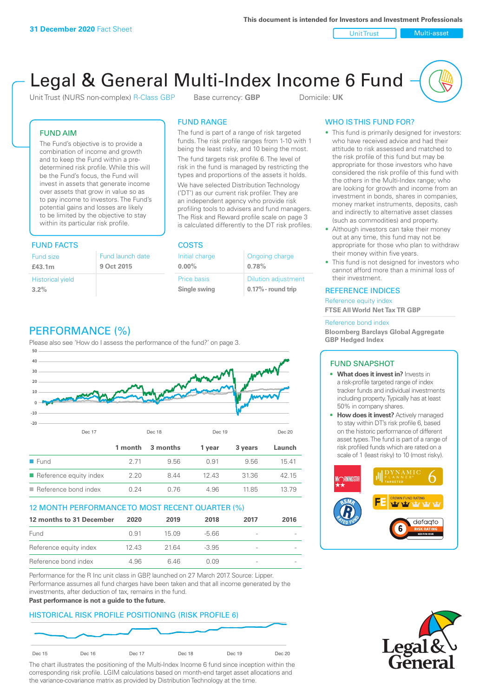Unit Trust Nulti-asset

# Legal & General Multi-Index Income 6 Fund

Unit Trust (NURS non-complex) R-Class GBP Base currency: **GBP** Domicile: UK

### FUND AIM

The Fund's objective is to provide a combination of income and growth and to keep the Fund within a predetermined risk profile. While this will be the Fund's focus, the Fund will invest in assets that generate income over assets that grow in value so as to pay income to investors. The Fund's potential gains and losses are likely to be limited by the objective to stay within its particular risk profile.

### FUND FACTS COSTS

| Fund size<br>£43.1m     | Fund launch date<br>9 Oct 2015 |
|-------------------------|--------------------------------|
| <b>Historical yield</b> |                                |
| 3.2%                    |                                |

### FUND RANGE

The fund is part of a range of risk targeted funds. The risk profile ranges from 1-10 with 1 being the least risky, and 10 being the most.

The fund targets risk profile 6. The level of risk in the fund is managed by restricting the types and proportions of the assets it holds. We have selected Distribution Technology ('DT') as our current risk profiler. They are an independent agency who provide risk profiling tools to advisers and fund managers. The Risk and Reward profile scale on page 3 is calculated differently to the DT risk profiles.

| Initial charge | Ongoing charge             |
|----------------|----------------------------|
| $0.00\%$       | 0.78%                      |
| Price basis    | <b>Dilution adjustment</b> |
| Single swing   | $0.17\%$ - round trip      |

## PERFORMANCE (%)

Please also see 'How do I assess the performance of the fund?' on page 3.



### 12 MONTH PERFORMANCE TO MOST RECENT QUARTER (%)

| 12 months to 31 December | 2020  | 2019  | 2018    | 2017                     | 2016 |
|--------------------------|-------|-------|---------|--------------------------|------|
| Fund                     | O 91  | 15 09 | -5.66   |                          |      |
| Reference equity index   | 12.43 | 21.64 | $-3.95$ | $\overline{\phantom{a}}$ |      |
| Reference bond index     | 4.96  | 646   | O O.9   | $\overline{\phantom{a}}$ |      |

Performance for the R Inc unit class in GBP, launched on 27 March 2017. Source: Lipper. Performance assumes all fund charges have been taken and that all income generated by the investments, after deduction of tax, remains in the fund.

### **Past performance is not a guide to the future.**

### HISTORICAL RISK PROFILE POSITIONING (RISK PROFILE 6)



The chart illustrates the positioning of the Multi-Index Income 6 fund since inception within the corresponding risk profile. LGIM calculations based on month-end target asset allocations and the variance-covariance matrix as provided by Distribution Technology at the time.

### WHO IS THIS FUND FOR?

- This fund is primarily designed for investors: who have received advice and had their attitude to risk assessed and matched to the risk profile of this fund but may be appropriate for those investors who have considered the risk profile of this fund with the others in the Multi-Index range; who are looking for growth and income from an investment in bonds, shares in companies, money market instruments, deposits, cash and indirectly to alternative asset classes (such as commodities) and property.
- Although investors can take their money out at any time, this fund may not be appropriate for those who plan to withdraw their money within five years.
- This fund is not designed for investors who cannot afford more than a minimal loss of their investment.

### REFERENCE INDICES

Reference equity index **FTSE All World Net Tax TR GBP**

#### Reference bond index

**Bloomberg Barclays Global Aggregate GBP Hedged Index**

### FUND SNAPSHOT

- **• What does it invest in?** Invests in a risk-profile targeted range of index tracker funds and individual investments including property. Typically has at least 50% in company shares.
- **• How does it invest?** Actively managed to stay within DT's risk profile 6, based on the historic performance of different asset types. The fund is part of a range of risk profiled funds which are rated on a scale of 1 (least risky) to 10 (most risky).



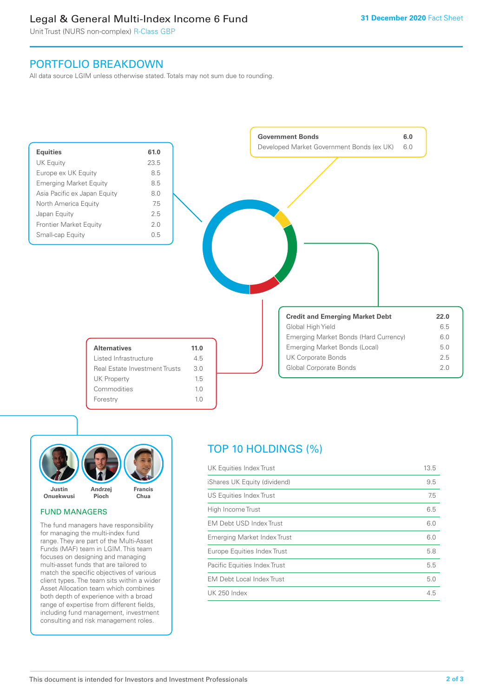### Legal & General Multi-Index Income 6 Fund

Unit Trust (NURS non-complex) R-Class GBP

### PORTFOLIO BREAKDOWN

All data source LGIM unless otherwise stated. Totals may not sum due to rounding.





### FUND MANAGERS

The fund managers have responsibility for managing the multi-index fund range. They are part of the Multi-Asset Funds (MAF) team in LGIM. This team focuses on designing and managing multi-asset funds that are tailored to match the specific objectives of various client types. The team sits within a wider Asset Allocation team which combines both depth of experience with a broad range of expertise from different fields, including fund management, investment consulting and risk management roles.

## TOP 10 HOLDINGS (%)

| UK Equities Index Trust          | 13.5 |
|----------------------------------|------|
| iShares UK Equity (dividend)     | 9.5  |
| US Equities Index Trust          | 7.5  |
| High Income Trust                | 6.5  |
| <b>EM Debt USD Index Trust</b>   | 6.0  |
| Emerging Market Index Trust      | 6.0  |
| Europe Equities Index Trust      | 5.8  |
| Pacific Equities Index Trust     | 5.5  |
| <b>EM Debt Local Index Trust</b> | 5.0  |
| UK 250 Index                     | 4.5  |
|                                  |      |